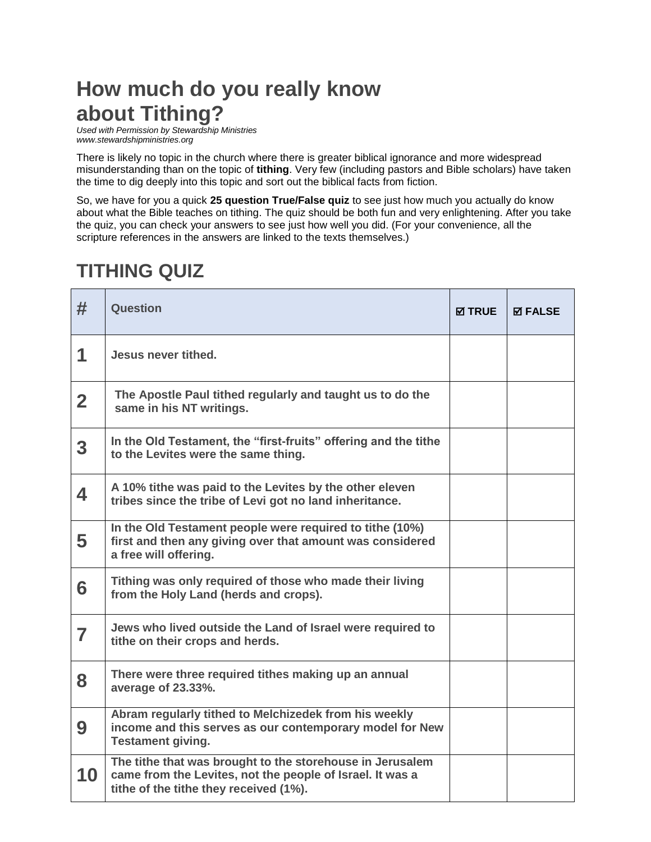## **How much do you really know about Tithing?**

*Used with Permission by Stewardship Ministries www.stewardshipministries.org*

There is likely no topic in the church where there is greater biblical ignorance and more widespread misunderstanding than on the topic of **tithing**. Very few (including pastors and Bible scholars) have taken the time to dig deeply into this topic and sort out the biblical facts from fiction.

So, we have for you a quick **25 question True/False quiz** to see just how much you actually do know about what the Bible teaches on tithing. The quiz should be both fun and very enlightening. After you take the quiz, you can check your answers to see just how well you did. (For your convenience, all the scripture references in the answers are linked to the texts themselves.)

## **TITHING QUIZ**

| #                       | Question                                                                                                                                                         | <b>Ø TRUE</b> | <b>⊠ FALSE</b> |
|-------------------------|------------------------------------------------------------------------------------------------------------------------------------------------------------------|---------------|----------------|
| 1                       | Jesus never tithed.                                                                                                                                              |               |                |
| $\overline{2}$          | The Apostle Paul tithed regularly and taught us to do the<br>same in his NT writings.                                                                            |               |                |
| $\overline{\mathbf{3}}$ | In the Old Testament, the "first-fruits" offering and the tithe<br>to the Levites were the same thing.                                                           |               |                |
| 4                       | A 10% tithe was paid to the Levites by the other eleven<br>tribes since the tribe of Levi got no land inheritance.                                               |               |                |
| 5                       | In the Old Testament people were required to tithe (10%)<br>first and then any giving over that amount was considered<br>a free will offering.                   |               |                |
| 6                       | Tithing was only required of those who made their living<br>from the Holy Land (herds and crops).                                                                |               |                |
| $\overline{\mathbf{r}}$ | Jews who lived outside the Land of Israel were required to<br>tithe on their crops and herds.                                                                    |               |                |
| 8                       | There were three required tithes making up an annual<br>average of 23.33%.                                                                                       |               |                |
| 9                       | Abram regularly tithed to Melchizedek from his weekly<br>income and this serves as our contemporary model for New<br><b>Testament giving.</b>                    |               |                |
| 10                      | The tithe that was brought to the storehouse in Jerusalem<br>came from the Levites, not the people of Israel. It was a<br>tithe of the tithe they received (1%). |               |                |